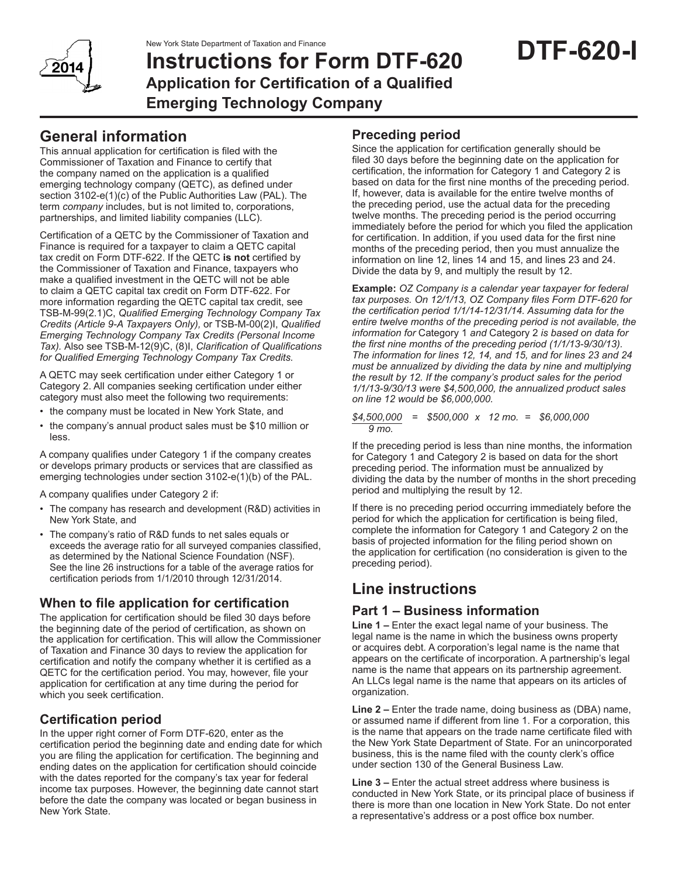New York State Department of Taxation and Finance



# **Instructions for Form DTF-620 Application for Certification of a Qualified Emerging Technology Company**

## **General information**

This annual application for certification is filed with the Commissioner of Taxation and Finance to certify that the company named on the application is a qualified emerging technology company (QETC), as defined under section 3102-e(1)(c) of the Public Authorities Law (PAL). The term *company* includes, but is not limited to, corporations, partnerships, and limited liability companies (LLC).

Certification of a QETC by the Commissioner of Taxation and Finance is required for a taxpayer to claim a QETC capital tax credit on Form DTF-622. If the QETC **is not** certified by the Commissioner of Taxation and Finance, taxpayers who make a qualified investment in the QETC will not be able to claim a QETC capital tax credit on Form DTF-622. For more information regarding the QETC capital tax credit, see TSB-M-99(2.1)C, *Qualified Emerging Technology Company Tax Credits (Article 9-A Taxpayers Only),* or TSB-M-00(2)I, *Qualified Emerging Technology Company Tax Credits (Personal Income Tax).* Also see TSB-M-12(9)C, (8)I, *Clarification of Qualifications for Qualified Emerging Technology Company Tax Credits.*

A QETC may seek certification under either Category 1 or Category 2. All companies seeking certification under either category must also meet the following two requirements:

- the company must be located in New York State, and
- the company's annual product sales must be \$10 million or less.

A company qualifies under Category 1 if the company creates or develops primary products or services that are classified as emerging technologies under section 3102-e(1)(b) of the PAL.

A company qualifies under Category 2 if:

- The company has research and development (R&D) activities in New York State, and
- The company's ratio of R&D funds to net sales equals or exceeds the average ratio for all surveyed companies classified, as determined by the National Science Foundation (NSF). See the line 26 instructions for a table of the average ratios for certification periods from 1/1/2010 through 12/31/2014.

## **When to file application for certification**

The application for certification should be filed 30 days before the beginning date of the period of certification, as shown on the application for certification. This will allow the Commissioner of Taxation and Finance 30 days to review the application for certification and notify the company whether it is certified as a QETC for the certification period. You may, however, file your application for certification at any time during the period for which you seek certification.

### **Certification period**

In the upper right corner of Form DTF-620, enter as the certification period the beginning date and ending date for which you are filing the application for certification. The beginning and ending dates on the application for certification should coincide with the dates reported for the company's tax year for federal income tax purposes. However, the beginning date cannot start before the date the company was located or began business in New York State.

### **Preceding period**

Since the application for certification generally should be filed 30 days before the beginning date on the application for certification, the information for Category 1 and Category 2 is based on data for the first nine months of the preceding period. If, however, data is available for the entire twelve months of the preceding period, use the actual data for the preceding twelve months. The preceding period is the period occurring immediately before the period for which you filed the application for certification. In addition, if you used data for the first nine months of the preceding period, then you must annualize the information on line 12, lines 14 and 15, and lines 23 and 24. Divide the data by 9, and multiply the result by 12.

**Example:** *OZ Company is a calendar year taxpayer for federal tax purposes. On 12/1/13, OZ Company files Form DTF-620 for the certification period 1/1/14-12/31/14. Assuming data for the entire twelve months of the preceding period is not available, the information for* Category 1 *and* Category 2 *is based on data for the first nine months of the preceding period (1/1/13-9/30/13). The information for lines 12, 14, and 15, and for lines 23 and 24 must be annualized by dividing the data by nine and multiplying the result by 12. If the company's product sales for the period 1/1/13-9/30/13 were \$4,500,000, the annualized product sales on line 12 would be \$6,000,000.*

*\$4,500,000 = \$500,000 x 12 mo. = \$6,000,000 9 mo.*

If the preceding period is less than nine months, the information for Category 1 and Category 2 is based on data for the short preceding period. The information must be annualized by dividing the data by the number of months in the short preceding period and multiplying the result by 12.

If there is no preceding period occurring immediately before the period for which the application for certification is being filed, complete the information for Category 1 and Category 2 on the basis of projected information for the filing period shown on the application for certification (no consideration is given to the preceding period).

## **Line instructions**

### **Part 1 – Business information**

**Line 1 –** Enter the exact legal name of your business. The legal name is the name in which the business owns property or acquires debt. A corporation's legal name is the name that appears on the certificate of incorporation. A partnership's legal name is the name that appears on its partnership agreement. An LLCs legal name is the name that appears on its articles of organization.

**Line 2 –** Enter the trade name, doing business as (DBA) name, or assumed name if different from line 1. For a corporation, this is the name that appears on the trade name certificate filed with the New York State Department of State. For an unincorporated business, this is the name filed with the county clerk's office under section 130 of the General Business Law.

**Line 3 –** Enter the actual street address where business is conducted in New York State, or its principal place of business if there is more than one location in New York State. Do not enter a representative's address or a post office box number.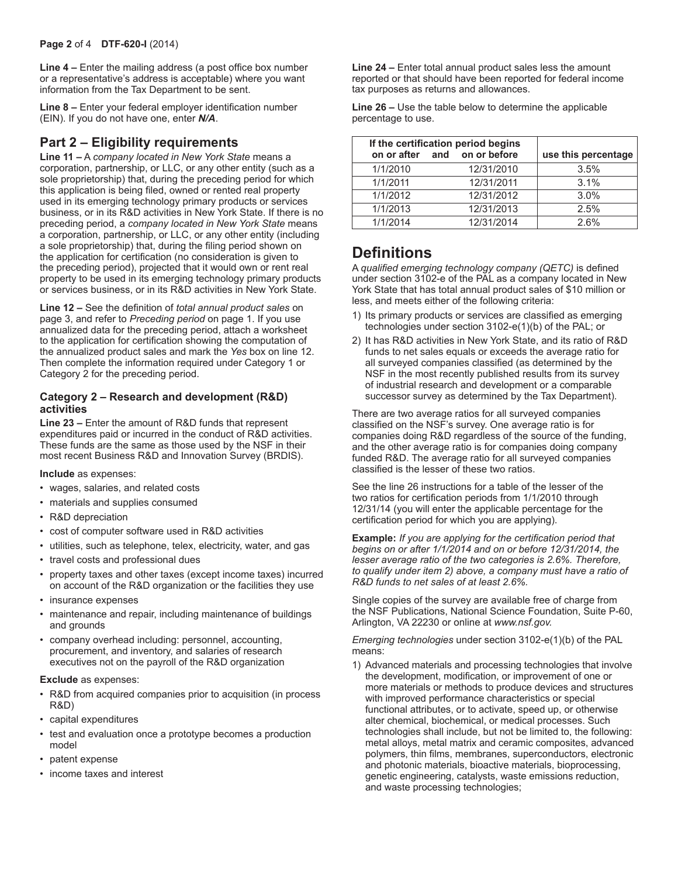**Line 4 –** Enter the mailing address (a post office box number or a representative's address is acceptable) where you want information from the Tax Department to be sent.

**Line 8 –** Enter your federal employer identification number (EIN). If you do not have one, enter *N/A*.

### **Part 2 – Eligibility requirements**

**Line 11 –** A *company located in New York State* means a corporation, partnership, or LLC, or any other entity (such as a sole proprietorship) that, during the preceding period for which this application is being filed, owned or rented real property used in its emerging technology primary products or services business, or in its R&D activities in New York State. If there is no preceding period, a *company located in New York State* means a corporation, partnership, or LLC, or any other entity (including a sole proprietorship) that, during the filing period shown on the application for certification (no consideration is given to the preceding period), projected that it would own or rent real property to be used in its emerging technology primary products or services business, or in its R&D activities in New York State.

**Line 12 –** See the definition of *total annual product sales* on page 3, and refer to *Preceding period* on page 1. If you use annualized data for the preceding period, attach a worksheet to the application for certification showing the computation of the annualized product sales and mark the *Yes* box on line 12. Then complete the information required under Category 1 or Category 2 for the preceding period.

#### **Category 2 – Research and development (R&D) activities**

**Line 23 –** Enter the amount of R&D funds that represent expenditures paid or incurred in the conduct of R&D activities. These funds are the same as those used by the NSF in their most recent Business R&D and Innovation Survey (BRDIS).

#### **Include** as expenses:

- wages, salaries, and related costs
- materials and supplies consumed
- R&D depreciation
- cost of computer software used in R&D activities
- utilities, such as telephone, telex, electricity, water, and gas
- travel costs and professional dues
- property taxes and other taxes (except income taxes) incurred on account of the R&D organization or the facilities they use
- insurance expenses
- maintenance and repair, including maintenance of buildings and grounds
- company overhead including: personnel, accounting, procurement, and inventory, and salaries of research executives not on the payroll of the R&D organization

#### **Exclude** as expenses:

- R&D from acquired companies prior to acquisition (in process R&D)
- capital expenditures
- test and evaluation once a prototype becomes a production model
- patent expense
- income taxes and interest

**Line 24 –** Enter total annual product sales less the amount reported or that should have been reported for federal income tax purposes as returns and allowances.

**Line 26 –** Use the table below to determine the applicable percentage to use.

| If the certification period begins<br>on or after and on or before |  |            | use this percentage |
|--------------------------------------------------------------------|--|------------|---------------------|
| 1/1/2010                                                           |  | 12/31/2010 | 3.5%                |
| 1/1/2011                                                           |  | 12/31/2011 | 3.1%                |
| 1/1/2012                                                           |  | 12/31/2012 | 3.0%                |
| 1/1/2013                                                           |  | 12/31/2013 | 2.5%                |
| 1/1/2014                                                           |  | 12/31/2014 | 2.6%                |

## **Definitions**

A *qualified emerging technology company (QETC)* is defined under section 3102-e of the PAL as a company located in New York State that has total annual product sales of \$10 million or less, and meets either of the following criteria:

- 1) Its primary products or services are classified as emerging technologies under section 3102-e(1)(b) of the PAL; or
- 2) It has R&D activities in New York State, and its ratio of R&D funds to net sales equals or exceeds the average ratio for all surveyed companies classified (as determined by the NSF in the most recently published results from its survey of industrial research and development or a comparable successor survey as determined by the Tax Department).

There are two average ratios for all surveyed companies classified on the NSF's survey. One average ratio is for companies doing R&D regardless of the source of the funding, and the other average ratio is for companies doing company funded R&D. The average ratio for all surveyed companies classified is the lesser of these two ratios.

See the line 26 instructions for a table of the lesser of the two ratios for certification periods from 1/1/2010 through 12/31/14 (you will enter the applicable percentage for the certification period for which you are applying).

**Example:** *If you are applying for the certification period that begins on or after 1/1/2014 and on or before 12/31/2014, the lesser average ratio of the two categories is 2.6%. Therefore, to qualify under item 2) above, a company must have a ratio of R&D funds to net sales of at least 2.6%.*

Single copies of the survey are available free of charge from the NSF Publications, National Science Foundation, Suite P-60, Arlington, VA 22230 or online at *www.nsf.gov.*

*Emerging technologies* under section 3102-e(1)(b) of the PAL means:

1) Advanced materials and processing technologies that involve the development, modification, or improvement of one or more materials or methods to produce devices and structures with improved performance characteristics or special functional attributes, or to activate, speed up, or otherwise alter chemical, biochemical, or medical processes. Such technologies shall include, but not be limited to, the following: metal alloys, metal matrix and ceramic composites, advanced polymers, thin films, membranes, superconductors, electronic and photonic materials, bioactive materials, bioprocessing, genetic engineering, catalysts, waste emissions reduction, and waste processing technologies;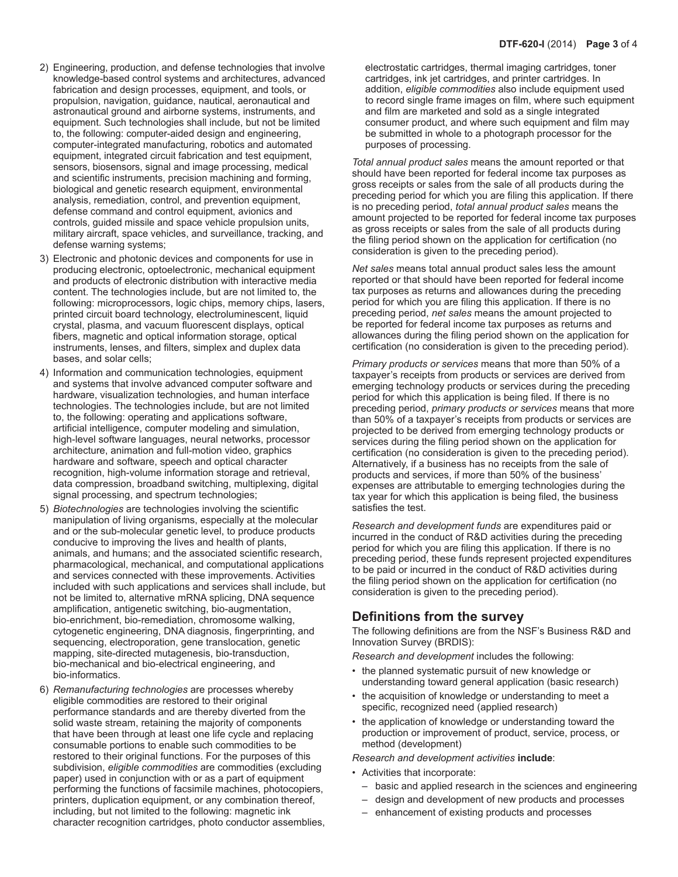- 2) Engineering, production, and defense technologies that involve knowledge-based control systems and architectures, advanced fabrication and design processes, equipment, and tools, or propulsion, navigation, guidance, nautical, aeronautical and astronautical ground and airborne systems, instruments, and equipment. Such technologies shall include, but not be limited to, the following: computer-aided design and engineering, computer-integrated manufacturing, robotics and automated equipment, integrated circuit fabrication and test equipment, sensors, biosensors, signal and image processing, medical and scientific instruments, precision machining and forming, biological and genetic research equipment, environmental analysis, remediation, control, and prevention equipment, defense command and control equipment, avionics and controls, guided missile and space vehicle propulsion units, military aircraft, space vehicles, and surveillance, tracking, and defense warning systems;
- 3) Electronic and photonic devices and components for use in producing electronic, optoelectronic, mechanical equipment and products of electronic distribution with interactive media content. The technologies include, but are not limited to, the following: microprocessors, logic chips, memory chips, lasers, printed circuit board technology, electroluminescent, liquid crystal, plasma, and vacuum fluorescent displays, optical fibers, magnetic and optical information storage, optical instruments, lenses, and filters, simplex and duplex data bases, and solar cells;
- 4) Information and communication technologies, equipment and systems that involve advanced computer software and hardware, visualization technologies, and human interface technologies. The technologies include, but are not limited to, the following: operating and applications software, artificial intelligence, computer modeling and simulation, high-level software languages, neural networks, processor architecture, animation and full-motion video, graphics hardware and software, speech and optical character recognition, high-volume information storage and retrieval, data compression, broadband switching, multiplexing, digital signal processing, and spectrum technologies;
- 5) *Biotechnologies* are technologies involving the scientific manipulation of living organisms, especially at the molecular and or the sub-molecular genetic level, to produce products conducive to improving the lives and health of plants, animals, and humans; and the associated scientific research, pharmacological, mechanical, and computational applications and services connected with these improvements. Activities included with such applications and services shall include, but not be limited to, alternative mRNA splicing, DNA sequence amplification, antigenetic switching, bio-augmentation, bio-enrichment, bio-remediation, chromosome walking, cytogenetic engineering, DNA diagnosis, fingerprinting, and sequencing, electroporation, gene translocation, genetic mapping, site-directed mutagenesis, bio-transduction, bio-mechanical and bio-electrical engineering, and bio-informatics.
- 6) *Remanufacturing technologies* are processes whereby eligible commodities are restored to their original performance standards and are thereby diverted from the solid waste stream, retaining the majority of components that have been through at least one life cycle and replacing consumable portions to enable such commodities to be restored to their original functions. For the purposes of this subdivision, *eligible commodities* are commodities (excluding paper) used in conjunction with or as a part of equipment performing the functions of facsimile machines, photocopiers, printers, duplication equipment, or any combination thereof, including, but not limited to the following: magnetic ink character recognition cartridges, photo conductor assemblies,

electrostatic cartridges, thermal imaging cartridges, toner cartridges, ink jet cartridges, and printer cartridges. In addition, *eligible commodities* also include equipment used to record single frame images on film, where such equipment and film are marketed and sold as a single integrated consumer product, and where such equipment and film may be submitted in whole to a photograph processor for the purposes of processing.

*Total annual product sales* means the amount reported or that should have been reported for federal income tax purposes as gross receipts or sales from the sale of all products during the preceding period for which you are filing this application. If there is no preceding period, *total annual product sales* means the amount projected to be reported for federal income tax purposes as gross receipts or sales from the sale of all products during the filing period shown on the application for certification (no consideration is given to the preceding period).

*Net sales* means total annual product sales less the amount reported or that should have been reported for federal income tax purposes as returns and allowances during the preceding period for which you are filing this application. If there is no preceding period, *net sales* means the amount projected to be reported for federal income tax purposes as returns and allowances during the filing period shown on the application for certification (no consideration is given to the preceding period).

*Primary products or services* means that more than 50% of a taxpayer's receipts from products or services are derived from emerging technology products or services during the preceding period for which this application is being filed. If there is no preceding period, *primary products or services* means that more than 50% of a taxpayer's receipts from products or services are projected to be derived from emerging technology products or services during the filing period shown on the application for certification (no consideration is given to the preceding period). Alternatively, if a business has no receipts from the sale of products and services, if more than 50% of the business' expenses are attributable to emerging technologies during the tax year for which this application is being filed, the business satisfies the test.

*Research and development funds* are expenditures paid or incurred in the conduct of R&D activities during the preceding period for which you are filing this application. If there is no preceding period, these funds represent projected expenditures to be paid or incurred in the conduct of R&D activities during the filing period shown on the application for certification (no consideration is given to the preceding period).

#### **Definitions from the survey**

The following definitions are from the NSF's Business R&D and Innovation Survey (BRDIS):

*Research and development* includes the following:

- the planned systematic pursuit of new knowledge or understanding toward general application (basic research)
- the acquisition of knowledge or understanding to meet a specific, recognized need (applied research)
- the application of knowledge or understanding toward the production or improvement of product, service, process, or method (development)

*Research and development activities* **include**:

- Activities that incorporate:
	- basic and applied research in the sciences and engineering
	- design and development of new products and processes
	- enhancement of existing products and processes